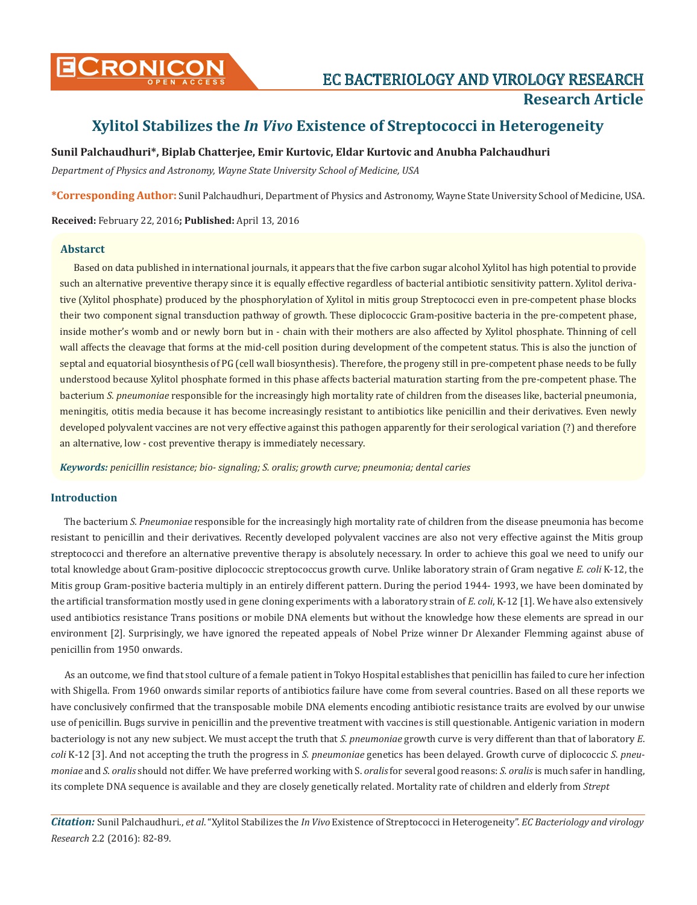

# **Xylitol Stabilizes the** *In Vivo* **Existence of Streptococci in Heterogeneity**

# **Sunil Palchaudhuri\*, Biplab Chatterjee, Emir Kurtovic, Eldar Kurtovic and Anubha Palchaudhuri**

*Department of Physics and Astronomy, Wayne State University School of Medicine, USA*

**\*Corresponding Author:** Sunil Palchaudhuri, Department of Physics and Astronomy, Wayne State University School of Medicine, USA.

**Received:** February 22, 2016**; Published:** April 13, 2016

### **Abstarct**

Based on data published in international journals, it appears that the five carbon sugar alcohol Xylitol has high potential to provide such an alternative preventive therapy since it is equally effective regardless of bacterial antibiotic sensitivity pattern. Xylitol derivative (Xylitol phosphate) produced by the phosphorylation of Xylitol in mitis group Streptococci even in pre-competent phase blocks their two component signal transduction pathway of growth. These diplococcic Gram-positive bacteria in the pre-competent phase, inside mother's womb and or newly born but in - chain with their mothers are also affected by Xylitol phosphate. Thinning of cell wall affects the cleavage that forms at the mid-cell position during development of the competent status. This is also the junction of septal and equatorial biosynthesis of PG (cell wall biosynthesis). Therefore, the progeny still in pre-competent phase needs to be fully understood because Xylitol phosphate formed in this phase affects bacterial maturation starting from the pre-competent phase. The bacterium *S. pneumoniae* responsible for the increasingly high mortality rate of children from the diseases like, bacterial pneumonia, meningitis, otitis media because it has become increasingly resistant to antibiotics like penicillin and their derivatives. Even newly developed polyvalent vaccines are not very effective against this pathogen apparently for their serological variation (?) and therefore an alternative, low - cost preventive therapy is immediately necessary.

*Keywords: penicillin resistance; bio- signaling; S. oralis; growth curve; pneumonia; dental caries*

### **Introduction**

The bacterium *S. Pneumoniae* responsible for the increasingly high mortality rate of children from the disease pneumonia has become resistant to penicillin and their derivatives. Recently developed polyvalent vaccines are also not very effective against the Mitis group streptococci and therefore an alternative preventive therapy is absolutely necessary. In order to achieve this goal we need to unify our total knowledge about Gram-positive diplococcic streptococcus growth curve. Unlike laboratory strain of Gram negative *E. coli* K-12, the Mitis group Gram-positive bacteria multiply in an entirely different pattern. During the period 1944- 1993, we have been dominated by the artificial transformation mostly used in gene cloning experiments with a laboratory strain of *E. coli*, K-12 [1]. We have also extensively used antibiotics resistance Trans positions or mobile DNA elements but without the knowledge how these elements are spread in our environment [2]. Surprisingly, we have ignored the repeated appeals of Nobel Prize winner Dr Alexander Flemming against abuse of penicillin from 1950 onwards.

As an outcome, we find that stool culture of a female patient in Tokyo Hospital establishes that penicillin has failed to cure her infection with Shigella. From 1960 onwards similar reports of antibiotics failure have come from several countries. Based on all these reports we have conclusively confirmed that the transposable mobile DNA elements encoding antibiotic resistance traits are evolved by our unwise use of penicillin. Bugs survive in penicillin and the preventive treatment with vaccines is still questionable. Antigenic variation in modern bacteriology is not any new subject. We must accept the truth that *S. pneumoniae* growth curve is very different than that of laboratory *E*. *coli* K-12 [3]. And not accepting the truth the progress in *S. pneumoniae* genetics has been delayed. Growth curve of diplococcic *S*. *pneumoniae* and *S. oralis* should not differ. We have preferred working with S. *oralis* for several good reasons: *S. oralis* is much safer in handling, its complete DNA sequence is available and they are closely genetically related. Mortality rate of children and elderly from *Strept*

*Citation:* Sunil Palchaudhuri., *et al*. "Xylitol Stabilizes the *In Vivo* Existence of Streptococci in Heterogeneity". *EC Bacteriology and virology Research* 2.2 (2016): 82-89.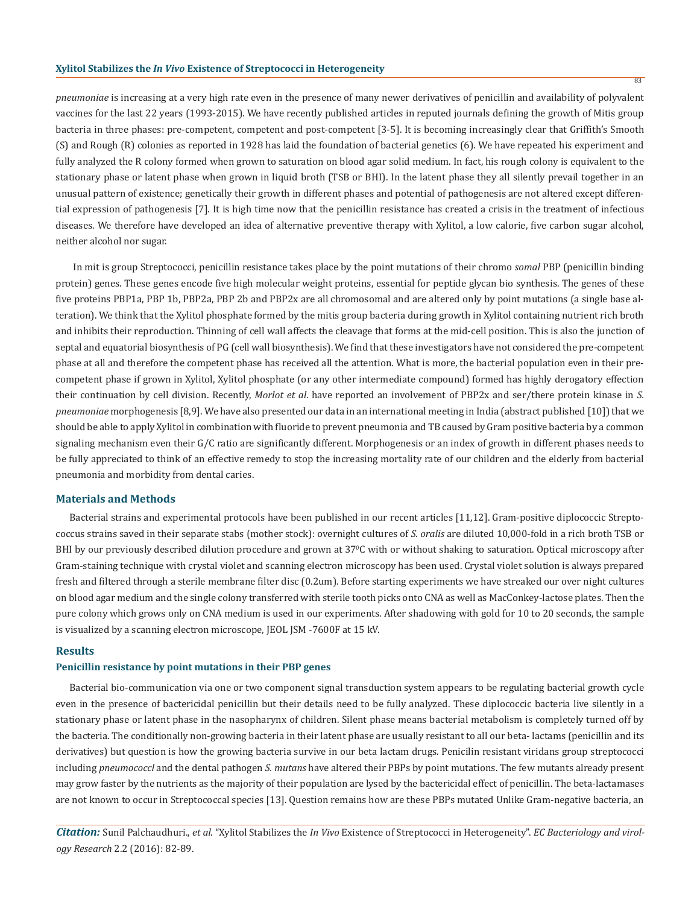### **Xylitol Stabilizes the** *In Vivo* **Existence of Streptococci in Heterogeneity**

*pneumoniae* is increasing at a very high rate even in the presence of many newer derivatives of penicillin and availability of polyvalent vaccines for the last 22 years (1993-2015). We have recently published articles in reputed journals defining the growth of Mitis group bacteria in three phases: pre-competent, competent and post-competent [3-5]. It is becoming increasingly clear that Griffith's Smooth (S) and Rough (R) colonies as reported in 1928 has laid the foundation of bacterial genetics (6). We have repeated his experiment and fully analyzed the R colony formed when grown to saturation on blood agar solid medium. In fact, his rough colony is equivalent to the stationary phase or latent phase when grown in liquid broth (TSB or BHI). In the latent phase they all silently prevail together in an unusual pattern of existence; genetically their growth in different phases and potential of pathogenesis are not altered except differential expression of pathogenesis [7]. It is high time now that the penicillin resistance has created a crisis in the treatment of infectious diseases. We therefore have developed an idea of alternative preventive therapy with Xylitol, a low calorie, five carbon sugar alcohol, neither alcohol nor sugar.

In mit is group Streptococci, penicillin resistance takes place by the point mutations of their chromo *somal* PBP (penicillin binding protein) genes. These genes encode five high molecular weight proteins, essential for peptide glycan bio synthesis. The genes of these five proteins PBP1a, PBP 1b, PBP2a, PBP 2b and PBP2x are all chromosomal and are altered only by point mutations (a single base alteration). We think that the Xylitol phosphate formed by the mitis group bacteria during growth in Xylitol containing nutrient rich broth and inhibits their reproduction. Thinning of cell wall affects the cleavage that forms at the mid-cell position. This is also the junction of septal and equatorial biosynthesis of PG (cell wall biosynthesis). We find that these investigators have not considered the pre-competent phase at all and therefore the competent phase has received all the attention. What is more, the bacterial population even in their precompetent phase if grown in Xylitol, Xylitol phosphate (or any other intermediate compound) formed has highly derogatory effection their continuation by cell division. Recently, *Morlot et al*. have reported an involvement of PBP2x and ser/there protein kinase in *S. pneumoniae* morphogenesis [8,9]. We have also presented our data in an international meeting in India (abstract published [10]) that we should be able to apply Xylitol in combination with fluoride to prevent pneumonia and TB caused by Gram positive bacteria by a common signaling mechanism even their G/C ratio are significantly different. Morphogenesis or an index of growth in different phases needs to be fully appreciated to think of an effective remedy to stop the increasing mortality rate of our children and the elderly from bacterial pneumonia and morbidity from dental caries.

### **Materials and Methods**

Bacterial strains and experimental protocols have been published in our recent articles [11,12]. Gram-positive diplococcic Streptococcus strains saved in their separate stabs (mother stock): overnight cultures of *S. oralis* are diluted 10,000-fold in a rich broth TSB or BHI by our previously described dilution procedure and grown at 37°C with or without shaking to saturation. Optical microscopy after Gram-staining technique with crystal violet and scanning electron microscopy has been used. Crystal violet solution is always prepared fresh and filtered through a sterile membrane filter disc (0.2um). Before starting experiments we have streaked our over night cultures on blood agar medium and the single colony transferred with sterile tooth picks onto CNA as well as MacConkey-lactose plates. Then the pure colony which grows only on CNA medium is used in our experiments. After shadowing with gold for 10 to 20 seconds, the sample is visualized by a scanning electron microscope, JEOL JSM -7600F at 15 kV.

### **Results**

### **Penicillin resistance by point mutations in their PBP genes**

Bacterial bio-communication via one or two component signal transduction system appears to be regulating bacterial growth cycle even in the presence of bactericidal penicillin but their details need to be fully analyzed. These diplococcic bacteria live silently in a stationary phase or latent phase in the nasopharynx of children. Silent phase means bacterial metabolism is completely turned off by the bacteria. The conditionally non-growing bacteria in their latent phase are usually resistant to all our beta- lactams (penicillin and its derivatives) but question is how the growing bacteria survive in our beta lactam drugs. Penicilin resistant viridans group streptococci including *pneumococcl* and the dental pathogen *S. mutans* have altered their PBPs by point mutations. The few mutants already present may grow faster by the nutrients as the majority of their population are lysed by the bactericidal effect of penicillin. The beta-lactamases are not known to occur in Streptococcal species [13]. Question remains how are these PBPs mutated Unlike Gram-negative bacteria, an

*Citation:* Sunil Palchaudhuri., *et al*. "Xylitol Stabilizes the *In Vivo* Existence of Streptococci in Heterogeneity". *EC Bacteriology and virology Research* 2.2 (2016): 82-89.

83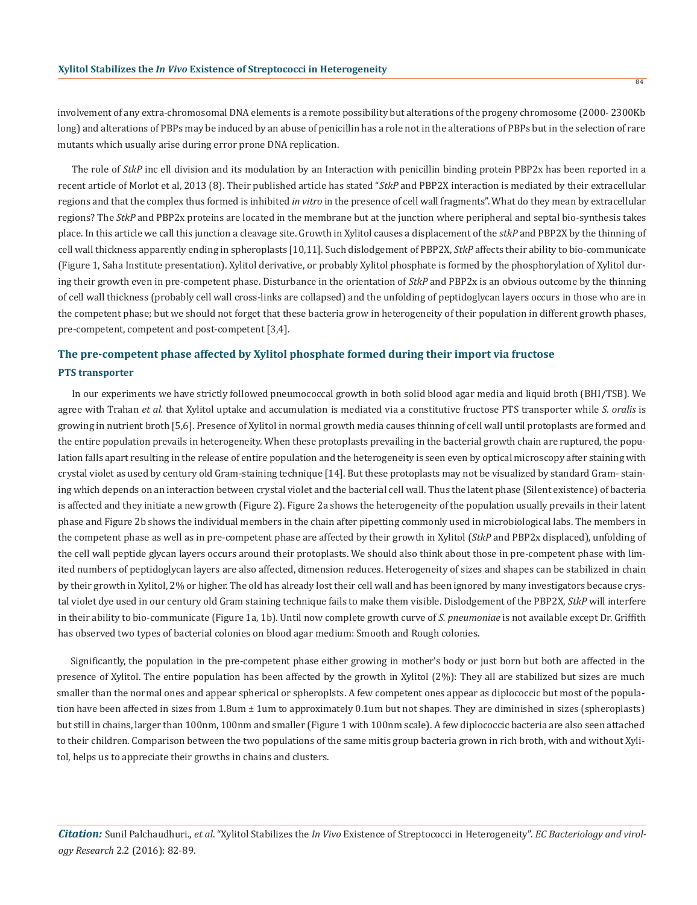involvement of any extra-chromosomal DNA elements is a remote possibility but alterations of the progeny chromosome (2000- 2300Kb long) and alterations of PBPs may be induced by an abuse of penicillin has a role not in the alterations of PBPs but in the selection of rare mutants which usually arise during error prone DNA replication.

The role of *StkP* inc ell division and its modulation by an Interaction with penicillin binding protein PBP2x has been reported in a recent article of Morlot et al, 2013 (8). Their published article has stated "*StkP* and PBP2X interaction is mediated by their extracellular regions and that the complex thus formed is inhibited *in vitro* in the presence of cell wall fragments". What do they mean by extracellular regions? The *StkP* and PBP2x proteins are located in the membrane but at the junction where peripheral and septal bio-synthesis takes place. In this article we call this junction a cleavage site. Growth in Xylitol causes a displacement of the *stkP* and PBP2X by the thinning of cell wall thickness apparently ending in spheroplasts [10,11]. Such dislodgement of PBP2X, *StkP* affects their ability to bio-communicate (Figure 1, Saha Institute presentation). Xylitol derivative, or probably Xylitol phosphate is formed by the phosphorylation of Xylitol during their growth even in pre-competent phase. Disturbance in the orientation of *StkP* and PBP2x is an obvious outcome by the thinning of cell wall thickness (probably cell wall cross-links are collapsed) and the unfolding of peptidoglycan layers occurs in those who are in the competent phase; but we should not forget that these bacteria grow in heterogeneity of their population in different growth phases, pre-competent, competent and post-competent [3,4].

# **The pre-competent phase affected by Xylitol phosphate formed during their import via fructose PTS transporter**

In our experiments we have strictly followed pneumococcal growth in both solid blood agar media and liquid broth (BHI/TSB). We agree with Trahan *et al.* that Xylitol uptake and accumulation is mediated via a constitutive fructose PTS transporter while *S. oralis* is growing in nutrient broth [5,6]. Presence of Xylitol in normal growth media causes thinning of cell wall until protoplasts are formed and the entire population prevails in heterogeneity. When these protoplasts prevailing in the bacterial growth chain are ruptured, the population falls apart resulting in the release of entire population and the heterogeneity is seen even by optical microscopy after staining with crystal violet as used by century old Gram-staining technique [14]. But these protoplasts may not be visualized by standard Gram- staining which depends on an interaction between crystal violet and the bacterial cell wall. Thus the latent phase (Silent existence) of bacteria is affected and they initiate a new growth (Figure 2). Figure 2a shows the heterogeneity of the population usually prevails in their latent phase and Figure 2b shows the individual members in the chain after pipetting commonly used in microbiological labs. The members in the competent phase as well as in pre-competent phase are affected by their growth in Xylitol (*StkP* and PBP2x displaced), unfolding of the cell wall peptide glycan layers occurs around their protoplasts. We should also think about those in pre-competent phase with limited numbers of peptidoglycan layers are also affected, dimension reduces. Heterogeneity of sizes and shapes can be stabilized in chain by their growth in Xylitol, 2% or higher. The old has already lost their cell wall and has been ignored by many investigators because crystal violet dye used in our century old Gram staining technique fails to make them visible. Dislodgement of the PBP2X, *StkP* will interfere in their ability to bio-communicate (Figure 1a, 1b). Until now complete growth curve of *S. pneumoniae* is not available except Dr. Griffith has observed two types of bacterial colonies on blood agar medium: Smooth and Rough colonies.

Significantly, the population in the pre-competent phase either growing in mother's body or just born but both are affected in the presence of Xylitol. The entire population has been affected by the growth in Xylitol (2%): They all are stabilized but sizes are much smaller than the normal ones and appear spherical or spheroplsts. A few competent ones appear as diplococcic but most of the population have been affected in sizes from 1.8um  $\pm$  1um to approximately 0.1um but not shapes. They are diminished in sizes (spheroplasts) but still in chains, larger than 100nm, 100nm and smaller (Figure 1 with 100nm scale). A few diplococcic bacteria are also seen attached to their children. Comparison between the two populations of the same mitis group bacteria grown in rich broth, with and without Xylitol, helps us to appreciate their growths in chains and clusters.

*Citation:* Sunil Palchaudhuri., *et al*. "Xylitol Stabilizes the *In Vivo* Existence of Streptococci in Heterogeneity". *EC Bacteriology and virology Research* 2.2 (2016): 82-89.

84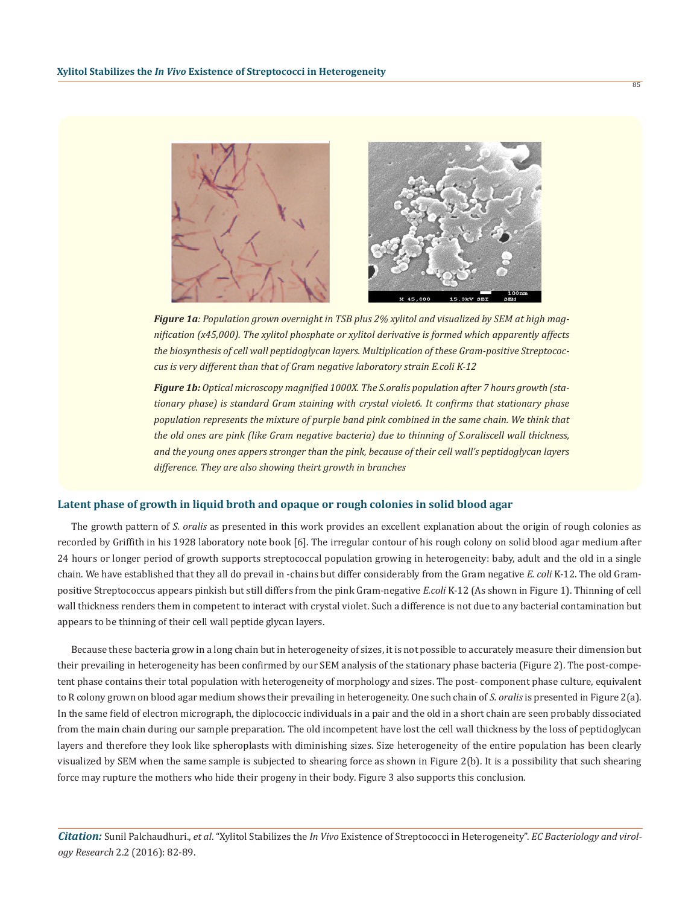

*Figure 1a: Population grown overnight in TSB plus 2% xylitol and visualized by SEM at high magnification (x45,000). The xylitol phosphate or xylitol derivative is formed which apparently affects the biosynthesis of cell wall peptidoglycan layers. Multiplication of these Gram-positive Streptococcus is very different than that of Gram negative laboratory strain E.coli K-12*

*Figure 1b: Optical microscopy magnified 1000X. The S.oralis population after 7 hours growth (stationary phase) is standard Gram staining with crystal violet6. It confirms that stationary phase population represents the mixture of purple band pink combined in the same chain. We think that the old ones are pink (like Gram negative bacteria) due to thinning of S.oraliscell wall thickness, and the young ones appers stronger than the pink, because of their cell wall's peptidoglycan layers difference. They are also showing theirt growth in branches*

### **Latent phase of growth in liquid broth and opaque or rough colonies in solid blood agar**

The growth pattern of *S. oralis* as presented in this work provides an excellent explanation about the origin of rough colonies as recorded by Griffith in his 1928 laboratory note book [6]. The irregular contour of his rough colony on solid blood agar medium after 24 hours or longer period of growth supports streptococcal population growing in heterogeneity: baby, adult and the old in a single chain. We have established that they all do prevail in -chains but differ considerably from the Gram negative *E. coli* K-12. The old Grampositive Streptococcus appears pinkish but still differs from the pink Gram-negative *E.coli* K-12 (As shown in Figure 1). Thinning of cell wall thickness renders them in competent to interact with crystal violet. Such a difference is not due to any bacterial contamination but appears to be thinning of their cell wall peptide glycan layers.

Because these bacteria grow in a long chain but in heterogeneity of sizes, it is not possible to accurately measure their dimension but their prevailing in heterogeneity has been confirmed by our SEM analysis of the stationary phase bacteria (Figure 2). The post-competent phase contains their total population with heterogeneity of morphology and sizes. The post- component phase culture, equivalent to R colony grown on blood agar medium shows their prevailing in heterogeneity. One such chain of *S. oralis* is presented in Figure 2(a). In the same field of electron micrograph, the diplococcic individuals in a pair and the old in a short chain are seen probably dissociated from the main chain during our sample preparation. The old incompetent have lost the cell wall thickness by the loss of peptidoglycan layers and therefore they look like spheroplasts with diminishing sizes. Size heterogeneity of the entire population has been clearly visualized by SEM when the same sample is subjected to shearing force as shown in Figure 2(b). It is a possibility that such shearing force may rupture the mothers who hide their progeny in their body. Figure 3 also supports this conclusion.

*Citation:* Sunil Palchaudhuri., *et al*. "Xylitol Stabilizes the *In Vivo* Existence of Streptococci in Heterogeneity". *EC Bacteriology and virology Research* 2.2 (2016): 82-89.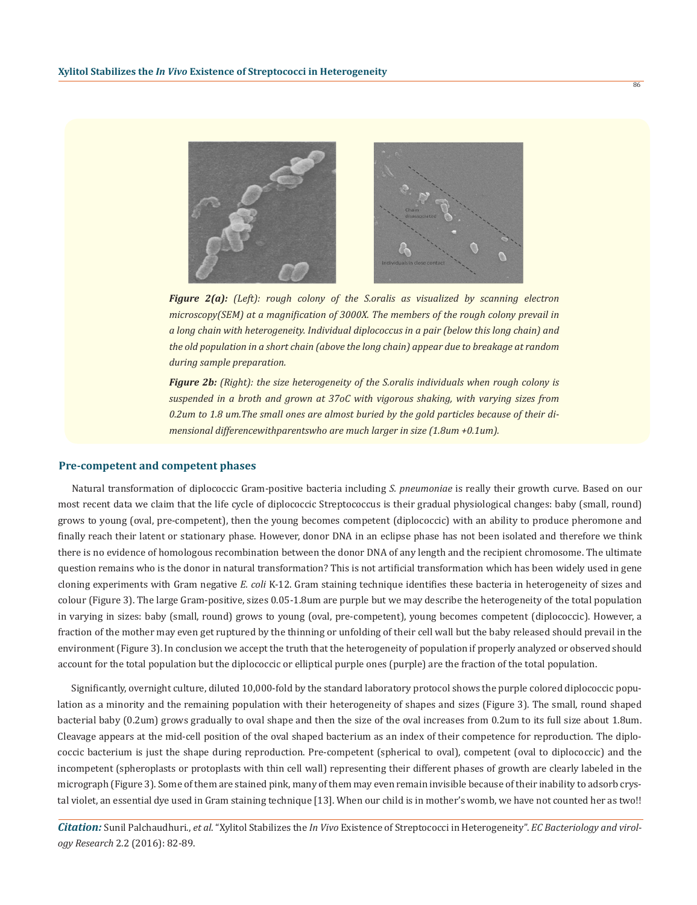

*Figure 2(a): (Left): rough colony of the S.oralis as visualized by scanning electron microscopy(SEM) at a magnification of 3000X. The members of the rough colony prevail in a long chain with heterogeneity. Individual diplococcus in a pair (below this long chain) and the old population in a short chain (above the long chain) appear due to breakage at random during sample preparation.*

*Figure 2b: (Right): the size heterogeneity of the S.oralis individuals when rough colony is suspended in a broth and grown at 37oC with vigorous shaking, with varying sizes from 0.2um to 1.8 um.The small ones are almost buried by the gold particles because of their dimensional differencewithparentswho are much larger in size (1.8um +0.1um).*

### **Pre-competent and competent phases**

Natural transformation of diplococcic Gram-positive bacteria including *S. pneumoniae* is really their growth curve. Based on our most recent data we claim that the life cycle of diplococcic Streptococcus is their gradual physiological changes: baby (small, round) grows to young (oval, pre-competent), then the young becomes competent (diplococcic) with an ability to produce pheromone and finally reach their latent or stationary phase. However, donor DNA in an eclipse phase has not been isolated and therefore we think there is no evidence of homologous recombination between the donor DNA of any length and the recipient chromosome. The ultimate question remains who is the donor in natural transformation? This is not artificial transformation which has been widely used in gene cloning experiments with Gram negative *E. coli* K-12. Gram staining technique identifies these bacteria in heterogeneity of sizes and colour (Figure 3). The large Gram-positive, sizes 0.05-1.8um are purple but we may describe the heterogeneity of the total population in varying in sizes: baby (small, round) grows to young (oval, pre-competent), young becomes competent (diplococcic). However, a fraction of the mother may even get ruptured by the thinning or unfolding of their cell wall but the baby released should prevail in the environment (Figure 3). In conclusion we accept the truth that the heterogeneity of population if properly analyzed or observed should account for the total population but the diplococcic or elliptical purple ones (purple) are the fraction of the total population.

Significantly, overnight culture, diluted 10,000-fold by the standard laboratory protocol shows the purple colored diplococcic population as a minority and the remaining population with their heterogeneity of shapes and sizes (Figure 3). The small, round shaped bacterial baby (0.2um) grows gradually to oval shape and then the size of the oval increases from 0.2um to its full size about 1.8um. Cleavage appears at the mid-cell position of the oval shaped bacterium as an index of their competence for reproduction. The diplococcic bacterium is just the shape during reproduction. Pre-competent (spherical to oval), competent (oval to diplococcic) and the incompetent (spheroplasts or protoplasts with thin cell wall) representing their different phases of growth are clearly labeled in the micrograph (Figure 3). Some of them are stained pink, many of them may even remain invisible because of their inability to adsorb crystal violet, an essential dye used in Gram staining technique [13]. When our child is in mother's womb, we have not counted her as two!!

*Citation:* Sunil Palchaudhuri., *et al*. "Xylitol Stabilizes the *In Vivo* Existence of Streptococci in Heterogeneity". *EC Bacteriology and virology Research* 2.2 (2016): 82-89.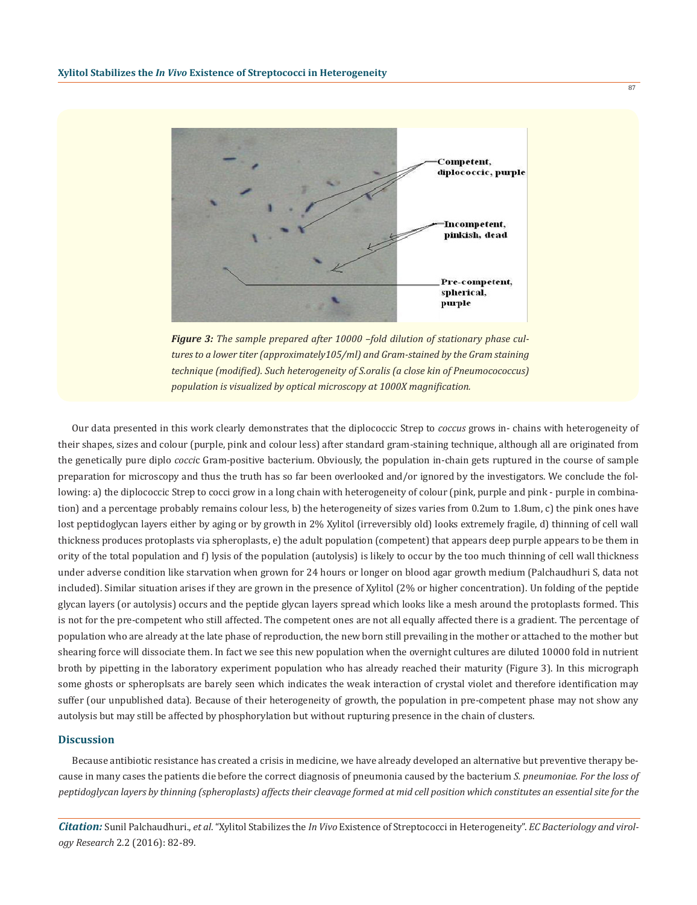

*Figure 3: The sample prepared after 10000 –fold dilution of stationary phase cultures to a lower titer (approximately105/ml) and Gram-stained by the Gram staining technique (modified). Such heterogeneity of S.oralis (a close kin of Pneumocococcus) population is visualized by optical microscopy at 1000X magnification.* 

Our data presented in this work clearly demonstrates that the diplococcic Strep to *coccus* grows in- chains with heterogeneity of their shapes, sizes and colour (purple, pink and colour less) after standard gram-staining technique, although all are originated from the genetically pure diplo *cocci*c Gram-positive bacterium. Obviously, the population in-chain gets ruptured in the course of sample preparation for microscopy and thus the truth has so far been overlooked and/or ignored by the investigators. We conclude the following: a) the diplococcic Strep to cocci grow in a long chain with heterogeneity of colour (pink, purple and pink - purple in combination) and a percentage probably remains colour less, b) the heterogeneity of sizes varies from 0.2um to 1.8um, c) the pink ones have lost peptidoglycan layers either by aging or by growth in 2% Xylitol (irreversibly old) looks extremely fragile, d) thinning of cell wall thickness produces protoplasts via spheroplasts, e) the adult population (competent) that appears deep purple appears to be them in ority of the total population and f) lysis of the population (autolysis) is likely to occur by the too much thinning of cell wall thickness under adverse condition like starvation when grown for 24 hours or longer on blood agar growth medium (Palchaudhuri S, data not included). Similar situation arises if they are grown in the presence of Xylitol (2% or higher concentration). Un folding of the peptide glycan layers (or autolysis) occurs and the peptide glycan layers spread which looks like a mesh around the protoplasts formed. This is not for the pre-competent who still affected. The competent ones are not all equally affected there is a gradient. The percentage of population who are already at the late phase of reproduction, the new born still prevailing in the mother or attached to the mother but shearing force will dissociate them. In fact we see this new population when the overnight cultures are diluted 10000 fold in nutrient broth by pipetting in the laboratory experiment population who has already reached their maturity (Figure 3). In this micrograph some ghosts or spheroplsats are barely seen which indicates the weak interaction of crystal violet and therefore identification may suffer (our unpublished data). Because of their heterogeneity of growth, the population in pre-competent phase may not show any autolysis but may still be affected by phosphorylation but without rupturing presence in the chain of clusters.

### **Discussion**

Because antibiotic resistance has created a crisis in medicine, we have already developed an alternative but preventive therapy because in many cases the patients die before the correct diagnosis of pneumonia caused by the bacterium *S. pneumoniae. For the loss of peptidoglycan layers by thinning (spheroplasts) affects their cleavage formed at mid cell position which constitutes an essential site for the*

*Citation:* Sunil Palchaudhuri., *et al*. "Xylitol Stabilizes the *In Vivo* Existence of Streptococci in Heterogeneity". *EC Bacteriology and virology Research* 2.2 (2016): 82-89.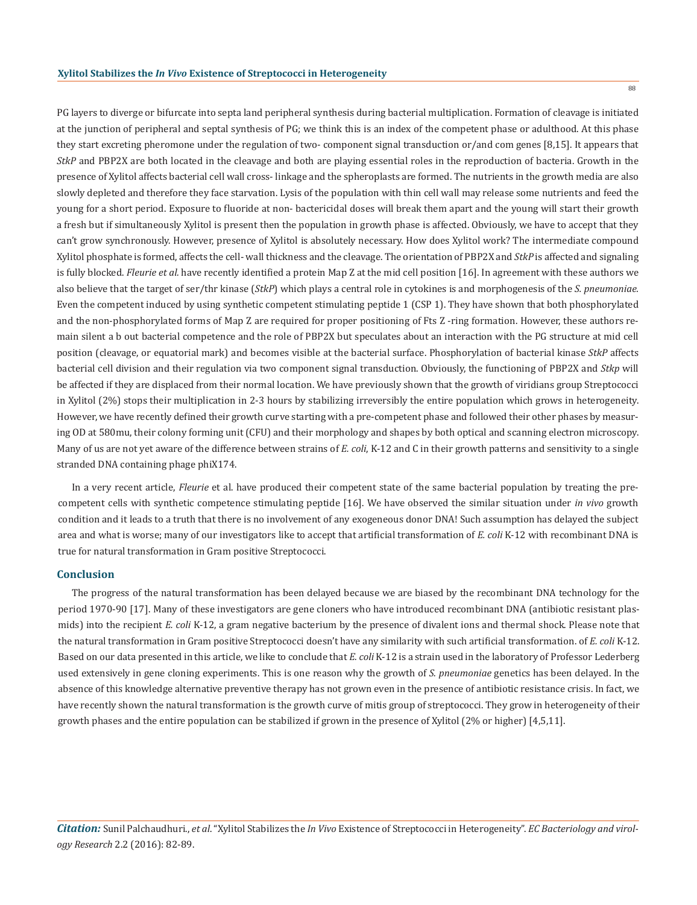PG layers to diverge or bifurcate into septa land peripheral synthesis during bacterial multiplication. Formation of cleavage is initiated at the junction of peripheral and septal synthesis of PG; we think this is an index of the competent phase or adulthood. At this phase they start excreting pheromone under the regulation of two- component signal transduction or/and com genes [8,15]. It appears that *StkP* and PBP2X are both located in the cleavage and both are playing essential roles in the reproduction of bacteria. Growth in the presence of Xylitol affects bacterial cell wall cross- linkage and the spheroplasts are formed. The nutrients in the growth media are also slowly depleted and therefore they face starvation. Lysis of the population with thin cell wall may release some nutrients and feed the young for a short period. Exposure to fluoride at non- bactericidal doses will break them apart and the young will start their growth a fresh but if simultaneously Xylitol is present then the population in growth phase is affected. Obviously, we have to accept that they can't grow synchronously. However, presence of Xylitol is absolutely necessary. How does Xylitol work? The intermediate compound Xylitol phosphate is formed, affects the cell- wall thickness and the cleavage. The orientation of PBP2X and *StkP* is affected and signaling is fully blocked. *Fleurie et al.* have recently identified a protein Map Z at the mid cell position [16]. In agreement with these authors we also believe that the target of ser/thr kinase (*StkP*) which plays a central role in cytokines is and morphogenesis of the *S. pneumoniae.*  Even the competent induced by using synthetic competent stimulating peptide 1 (CSP 1). They have shown that both phosphorylated and the non-phosphorylated forms of Map Z are required for proper positioning of Fts Z -ring formation. However, these authors remain silent a b out bacterial competence and the role of PBP2X but speculates about an interaction with the PG structure at mid cell position (cleavage, or equatorial mark) and becomes visible at the bacterial surface. Phosphorylation of bacterial kinase *StkP* affects bacterial cell division and their regulation via two component signal transduction. Obviously, the functioning of PBP2X and *Stkp* will be affected if they are displaced from their normal location. We have previously shown that the growth of viridians group Streptococci in Xylitol (2%) stops their multiplication in 2-3 hours by stabilizing irreversibly the entire population which grows in heterogeneity. However, we have recently defined their growth curve starting with a pre-competent phase and followed their other phases by measuring OD at 580mu, their colony forming unit (CFU) and their morphology and shapes by both optical and scanning electron microscopy. Many of us are not yet aware of the difference between strains of *E. coli*, K-12 and C in their growth patterns and sensitivity to a single stranded DNA containing phage phiX174.

In a very recent article, *Fleurie* et al. have produced their competent state of the same bacterial population by treating the precompetent cells with synthetic competence stimulating peptide [16]. We have observed the similar situation under *in vivo* growth condition and it leads to a truth that there is no involvement of any exogeneous donor DNA! Such assumption has delayed the subject area and what is worse; many of our investigators like to accept that artificial transformation of *E. coli* K-12 with recombinant DNA is true for natural transformation in Gram positive Streptococci.

### **Conclusion**

The progress of the natural transformation has been delayed because we are biased by the recombinant DNA technology for the period 1970-90 [17]. Many of these investigators are gene cloners who have introduced recombinant DNA (antibiotic resistant plasmids) into the recipient *E. coli* K-12, a gram negative bacterium by the presence of divalent ions and thermal shock. Please note that the natural transformation in Gram positive Streptococci doesn't have any similarity with such artificial transformation. of *E. coli* K-12. Based on our data presented in this article, we like to conclude that *E. coli* K-12 is a strain used in the laboratory of Professor Lederberg used extensively in gene cloning experiments. This is one reason why the growth of *S. pneumoniae* genetics has been delayed. In the absence of this knowledge alternative preventive therapy has not grown even in the presence of antibiotic resistance crisis. In fact, we have recently shown the natural transformation is the growth curve of mitis group of streptococci. They grow in heterogeneity of their growth phases and the entire population can be stabilized if grown in the presence of Xylitol (2% or higher) [4,5,11].